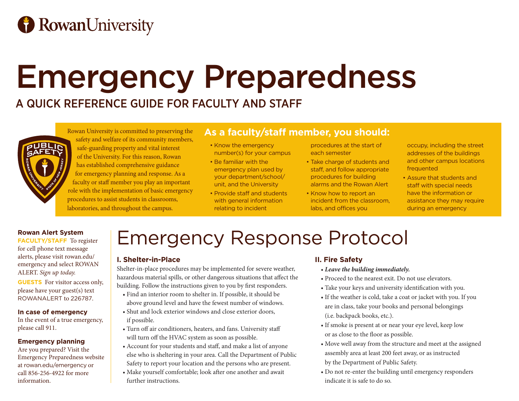# **B** RowanUniversity

# Emergency Preparedness

## A QUICK REFERENCE GUIDE FOR FACULTY AND STAFF



Rowan University is committed to preserving the safety and welfare of its community members, safe-guarding property and vital interest of the University. For this reason, Rowan has established comprehensive guidance for emergency planning and response. As a faculty or staff member you play an important role with the implementation of basic emergency procedures to assist students in classrooms, laboratories, and throughout the campus.

### **As a faculty/staff member, you should:**

- Know the emergency number(s) for your campus
- Be familiar with the emergency plan used by your department/school/ unit, and the University
- Provide staff and students with general information relating to incident

procedures at the start of each semester

- Take charge of students and staff, and follow appropriate procedures for building alarms and the Rowan Alert
- Know how to report an incident from the classroom, labs, and offices you

occupy, including the street addresses of the buildings and other campus locations frequented

• Assure that students and staff with special needs have the information or assistance they may require during an emergency

#### **Rowan Alert System**

**FACULTY/STAFF** To register for cell phone text message alerts, please visit rowan.edu/ emergency and select ROWAN ALERT. *Sign up today.*

**GUESTS** For visitor access only, please have your guest(s) text ROWANALERT to 226787.

#### **In case of emergency**

In the event of a true emergency, please call 911.

#### **Emergency planning**

Are you prepared? Visit the Emergency Preparedness website at rowan.edu/emergency or call 856-256-4922 for more information.

## Emergency Response Protocol

#### **I. Shelter-in-Place**

Shelter-in-place procedures may be implemented for severe weather, hazardous material spills, or other dangerous situations that affect the building. Follow the instructions given to you by first responders.

- Find an interior room to shelter in. If possible, it should be above ground level and have the fewest number of windows.
- Shut and lock exterior windows and close exterior doors, if possible.
- Turn off air conditioners, heaters, and fans. University staff will turn off the HVAC system as soon as possible.
- Account for your students and staff, and make a list of anyone else who is sheltering in your area. Call the Department of Public Safety to report your location and the persons who are present.
- Make yourself comfortable; look after one another and await further instructions.

#### **II. Fire Safety**

- *Leave the building immediately.*
- Proceed to the nearest exit. Do not use elevators.
- Take your keys and university identification with you.
- If the weather is cold, take a coat or jacket with you. If you are in class, take your books and personal belongings (i.e. backpack books, etc.).
- If smoke is present at or near your eye level, keep low or as close to the floor as possible.
- Move well away from the structure and meet at the assigned assembly area at least 200 feet away, or as instructed by the Department of Public Safety.
- Do not re-enter the building until emergency responders indicate it is safe to do so.